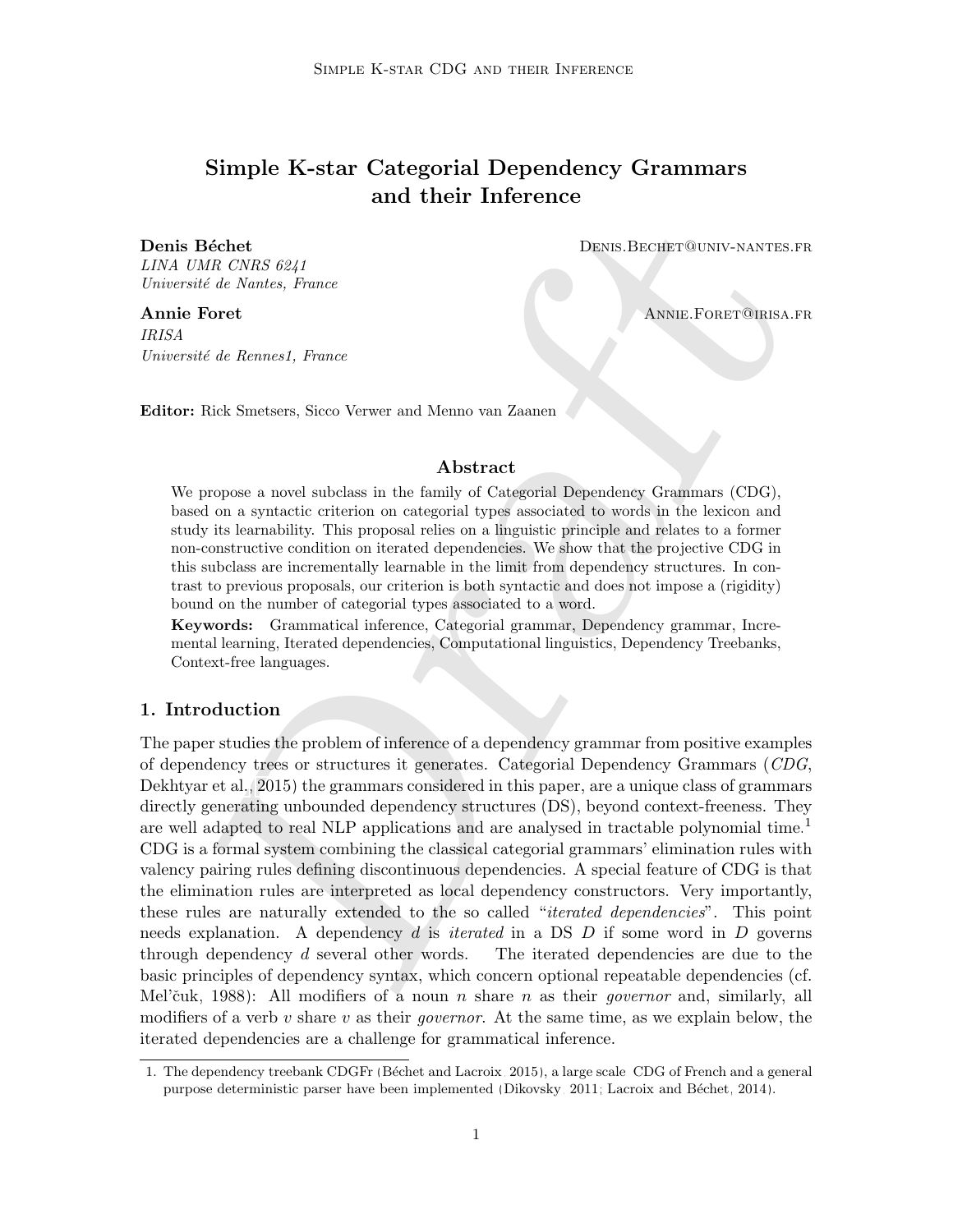# Simple K-star Categorial Dependency Grammars and their Inference

LINA UMR CNRS 6241 Université de Nantes, France

IRISA Université de Rennes1, France

**Denis Béchet** Denis Bechet Denis.Bechet Denis.Bechet Denis.Bechet Denis.Bechet Denis Bechet Denis Bechet Denis Bechet Denis Bechet Denis Bechet Denis Bechet Denis Bechet Denis Bechet Denis Bechet Denis Bechet Denis Bechet

Annie Foret **Annie Foret Annie Experiment Annie Foret Annie Foret Annie Foret Annie Foret Annie Foret Annie Foret Annie Foret Annie Foret Annie Foret Annie Foret Annie Foret Annie Foret Annie Foret Annie Foret Annie Foret** 

Editor: Rick Smetsers, Sicco Verwer and Menno van Zaanen

#### Abstract

We propose a novel subclass in the family of Categorial Dependency Grammars (CDG), based on a syntactic criterion on categorial types associated to words in the lexicon and study its learnability. This proposal relies on a linguistic principle and relates to a former non-constructive condition on iterated dependencies. We show that the projective CDG in this subclass are incrementally learnable in the limit from dependency structures. In contrast to previous proposals, our criterion is both syntactic and does not impose a (rigidity) bound on the number of categorial types associated to a word.

Keywords: Grammatical inference, Categorial grammar, Dependency grammar, Incremental learning, Iterated dependencies, Computational linguistics, Dependency Treebanks, Context-free languages.

# 1. Introduction

[D](#page-11-0)raft The paper studies the problem of inference of a dependency grammar from positive examples of dependency trees or structures it generates. Categorial Dependency Grammars (CDG, [Dekhtyar et al.,](#page-11-0) 2015) the grammars considered in this paper, are a unique class of grammars directly generating unbounded dependency structures (DS), beyond context-freeness. They are well adapted to real NLP applications and are analysed in tractable polynomial time.<sup>[1](#page-0-0)</sup> CDG is a formal system combining the classical categorial grammars' elimination rules with valency pairing rules defining discontinuous dependencies. A special feature of CDG is that the elimination rules are interpreted as local dependency constructors. Very importantly, these rules are naturally extended to the so called "*iterated dependencies*". This point needs explanation. A dependency d is *iterated* in a DS  $D$  if some word in  $D$  governs through dependency d several other words. The iterated dependencies are due to the basic principles of dependency syntax, which concern optional repeatable dependencies (cf. Mel'čuk, 1988): All modifiers of a noun *n* share *n* as their *governor* and, similarly, all modifiers of a verb v share v as their *governor*. At the same time, as we explain below, the iterated dependencies are a challenge for grammatical inference.

<span id="page-0-0"></span><sup>1.</sup> The dependency treebank CDGFr [\(B´echet and Lacroix, 2015\)](#page-11-2), a large scale CDG of French and a general purpose deterministic parser have been implemented [\(Dikovsky, 2011;](#page-11-3) Lacroix and Béchet, 2014).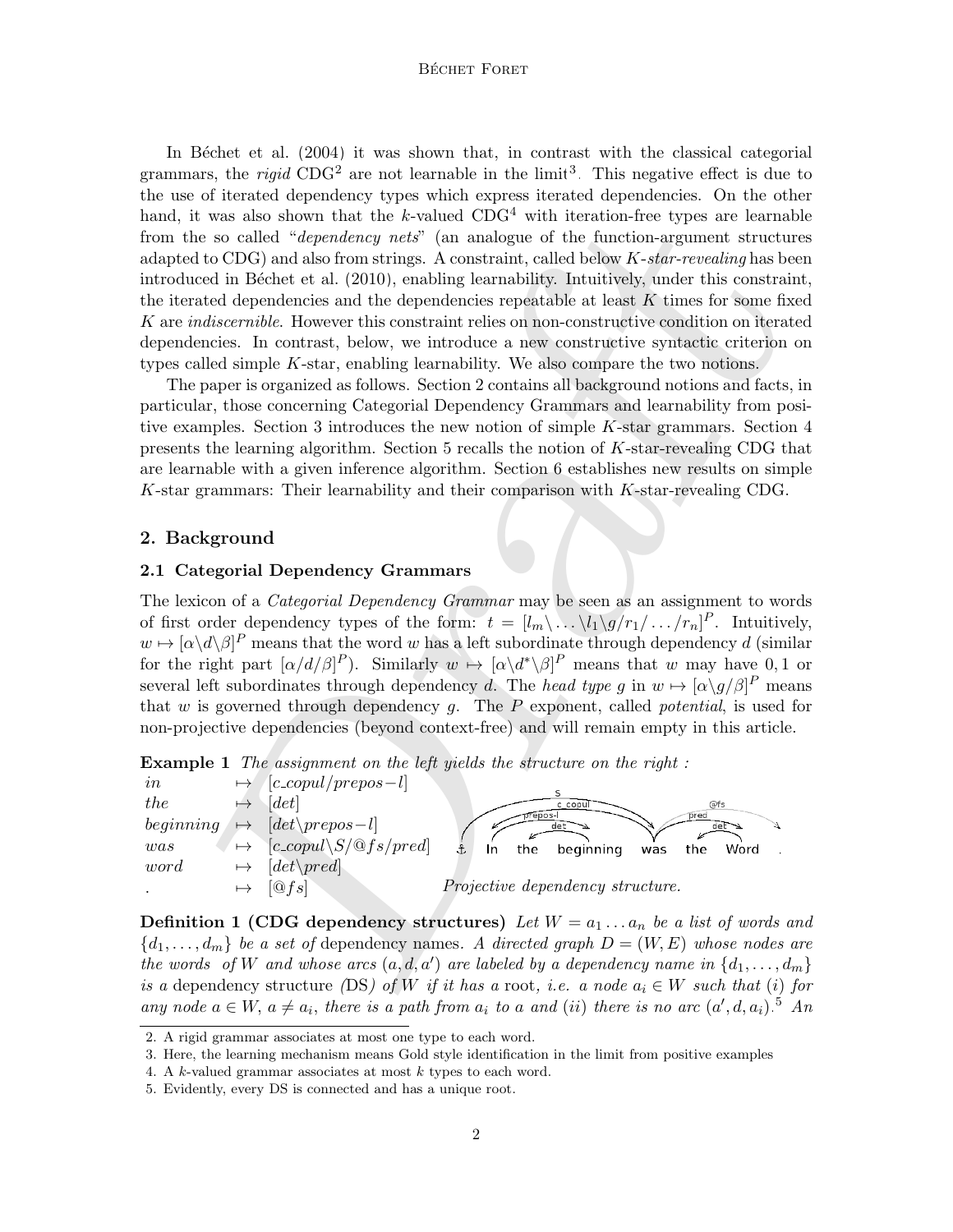#### BÉCHET FORET

twas also shown that the k-valued CDG<sup>2</sup> with iteration-free types are learned to CDC<sub>2</sub> and also from stringth. Anothering the function-argument strutter (1961) and also from strings. A constraint, called below  $K$ -star-In Béchet et al.  $(2004)$  it was shown that, in contrast with the classical categorial grammars, the *rigid* CDG<sup>[2](#page-1-0)</sup> are not learnable in the limit<sup>[3](#page-1-1)</sup>. This negative effect is due to the use of iterated dependency types which express iterated dependencies. On the other hand, it was also shown that the k-valued  $CDG<sup>4</sup>$  with iteration-free types are learnable from the so called "dependency nets" (an analogue of the function-argument structures adapted to  $CDG$ ) and also from strings. A constraint, called below  $K\text{-}star\text{-}revealing$  has been introduced in Béchet et al. (2010), enabling learnability. Intuitively, under this constraint, the iterated dependencies and the dependencies repeatable at least  $K$  times for some fixed K are indiscernible. However this constraint relies on non-constructive condition on iterated dependencies. In contrast, below, we introduce a new constructive syntactic criterion on types called simple K-star, enabling learnability. We also compare the two notions.

The paper is organized as follows. Section 2 contains all background notions and facts, in particular, those concerning Categorial Dependency Grammars and learnability from positive examples. Section 3 introduces the new notion of simple K-star grammars. Section 4 presents the learning algorithm. Section 5 recalls the notion of K-star-revealing CDG that are learnable with a given inference algorithm. Section 6 establishes new results on simple K-star grammars: Their learnability and their comparison with K-star-revealing CDG.

#### 2. Background

#### 2.1 Categorial Dependency Grammars

The lexicon of a *Categorial Dependency Grammar* may be seen as an assignment to words of first order dependency types of the form:  $t = [l_m \langle \dots \langle l_1 \rangle g / r_1 / \dots / r_n]^P$ . Intuitively,  $w \mapsto [\alpha \backslash d \backslash \beta]^P$  means that the word w has a left subordinate through dependency d (similar for the right part  $\left[\alpha/d/\beta\right]^P$ ). Similarly  $w \mapsto \left[\alpha \langle d^*\rangle \beta\right]^P$  means that w may have 0, 1 or several left subordinates through dependency d. The head type g in  $w \mapsto [\alpha \backslash g/\beta]^P$  means that  $w$  is governed through dependency  $g$ . The  $P$  exponent, called *potential*, is used for non-projective dependencies (beyond context-free) and will remain empty in this article.

**Example 1** The assignment on the left yields the structure on the right:

| $\imath$  | $[ccopul/prepos-l]$                                    |                                              |
|-----------|--------------------------------------------------------|----------------------------------------------|
| the       | [det]                                                  | @fs<br>c copul                               |
| beginning | $\left[det\right\rangle$ det $\left\langle$ prepos - l | pred<br>orepos-<br>det<br>det "              |
| was       | $[c_{\text{1}}\&S/\&fs/pred]$                          | beginning<br>the<br>the<br>Word<br>was<br>In |
| word      | $[det\$ [pred]                                         |                                              |
|           | [@fs]                                                  | Projective dependency structure.             |

**Definition 1 (CDG dependency structures)** Let  $W = a_1 \ldots a_n$  be a list of words and  ${d_1, \ldots, d_m}$  be a set of dependency names. A directed graph  $D = (W, E)$  whose nodes are the words of W and whose arcs  $(a, d, a')$  are labeled by a dependency name in  $\{d_1, \ldots, d_m\}$ is a dependency structure (DS) of W if it has a root, i.e. a node  $a_i \in W$  such that (i) for any node  $a \in W$ ,  $a \neq a_i$ , there is a path from  $a_i$  to a and (ii) there is no arc  $(a', d, a_i)$ .<sup>[5](#page-1-3)</sup> An

<span id="page-1-0"></span><sup>2.</sup> A rigid grammar associates at most one type to each word.

<span id="page-1-1"></span><sup>3.</sup> Here, the learning mechanism means Gold style identification in the limit from positive examples

<span id="page-1-2"></span><sup>4.</sup> A k-valued grammar associates at most k types to each word.

<span id="page-1-3"></span><sup>5.</sup> Evidently, every DS is connected and has a unique root.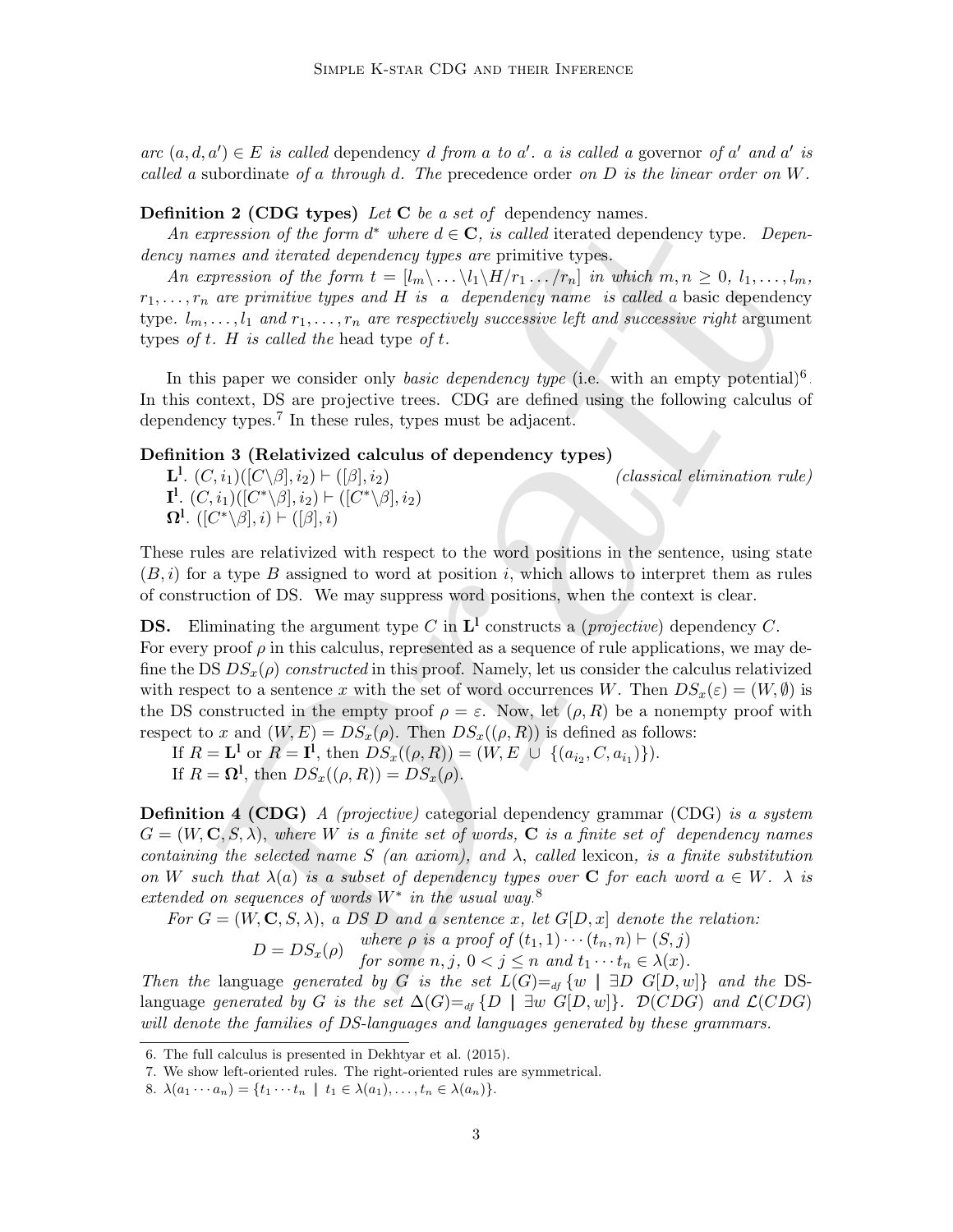$arc (a, d, a') \in E$  is called dependency d from a to a'. a is called a governor of a' and a' is called a subordinate of a through d. The precedence order on  $D$  is the linear order on  $W$ .

#### **Definition 2 (CDG types)** Let  $C$  be a set of dependency names.

An expression of the form  $d^*$  where  $d \in \mathbb{C}$ , is called iterated dependency type. Dependency names and iterated dependency types are primitive types.

An expression of the form  $t = [l_m \backslash ... \backslash l_1 \backslash H/r_1 ... /r_n]$  in which  $m, n \geq 0, l_1, ..., l_m$ ,  $r_1, \ldots, r_n$  are primitive types and H is a dependency name is called a basic dependency type.  $l_m, \ldots, l_1$  and  $r_1, \ldots, r_n$  are respectively successive left and successive right argument types of t. H is called the head type of t.

In this paper we consider only *basic dependency type* (i.e. with an empty potential)<sup>[6](#page-2-0)</sup>. In this context, DS are projective trees. CDG are defined using the following calculus of dependency types.<sup>7</sup> In these rules, types must be adjacent.

# Definition 3 (Relativized calculus of dependency types)

 $\mathbf{L}^1$ .  $(C, i_1)([C \setminus \beta], i_2) \vdash ([\beta], i_2)$  (classical elimination rule)  $\mathbf{I}^{\mathbf{l}}.$   $(C, i_1)([C^*\setminus\beta], i_2) \vdash ([C^*\setminus\beta], i_2)$  $\Omega^1$ .  $([C^*\backslash \beta], i) \vdash ([\beta], i)$ 

These rules are relativized with respect to the word positions in the sentence, using state  $(B, i)$  for a type B assigned to word at position i, which allows to interpret them as rules of construction of DS. We may suppress word positions, when the context is clear.

ion 2 (CDG types) Let C be a set of dependency rames.<br>
in  $\alpha$  conterpant of the form of where  $d \in \mathbf{C}$ , is called iterated dependency type. Dependency to gradient<br>
expression of the form of where  $d \in \mathbf{C}$ , is calle **DS.** Eliminating the argument type C in  $\mathbf{L}^{\mathbf{I}}$  constructs a (*projective*) dependency C. For every proof  $\rho$  in this calculus, represented as a sequence of rule applications, we may define the DS  $DS_x(\rho)$  constructed in this proof. Namely, let us consider the calculus relativized with respect to a sentence x with the set of word occurrences W. Then  $DS_x(\varepsilon) = (W, \emptyset)$  is the DS constructed in the empty proof  $\rho = \varepsilon$ . Now, let  $(\rho, R)$  be a nonempty proof with respect to x and  $(W, E) = DS_x(\rho)$ . Then  $DS_x((\rho, R))$  is defined as follows:

If  $R = L^1$  or  $R = I^1$ , then  $DS_x((\rho, R)) = (W, E \cup \{(a_{i_2}, C, a_{i_1})\}).$ 

If  $R = \mathbf{\Omega}^{\mathbf{l}},$  then  $DS_x((\rho, R)) = DS_x(\rho).$ 

**Definition 4 (CDG)** A (projective) categorial dependency grammar (CDG) is a system  $G = (W, \mathbf{C}, S, \lambda)$ , where W is a finite set of words, **C** is a finite set of dependency names containing the selected name S (an axiom), and  $\lambda$ , called lexicon, is a finite substitution on W such that  $\lambda(a)$  is a subset of dependency types over C for each word  $a \in W$ .  $\lambda$  is extended on sequences of words  $W^*$  in the usual way.<sup>8</sup>

For  $G = (W, \mathbf{C}, S, \lambda)$ , a  $\overline{DS} \ D$  and a sentence x, let  $G[D, x]$  denote the relation:

 $D = DS_x(\rho)$  where  $\rho$  is a proof of  $(t_1, 1) \cdots (t_n, n) \vdash (S, j)$ 

for some  $n, j, 0 < j \leq n$  and  $t_1 \cdots t_n \in \lambda(x)$ .

Then the language generated by G is the set  $L(G) =_{df} \{w \mid \exists D \ G[D, w]\}$  and the DSlanguage generated by G is the set  $\Delta(G) =_{df} \{D \mid \exists w \ G[D, w]\}.$   $\mathcal{D}(CDG)$  and  $\mathcal{L}(CDG)$ will denote the families of DS-languages and languages generated by these grammars.

<span id="page-2-0"></span><sup>6.</sup> The full calculus is presented in [Dekhtyar et al.](#page-11-0) [\(2015\)](#page-11-0).

<span id="page-2-1"></span><sup>7.</sup> We show left-oriented rules. The right-oriented rules are symmetrical.

<span id="page-2-2"></span><sup>8.</sup>  $\lambda(a_1 \cdots a_n) = \{t_1 \cdots t_n \mid t_1 \in \lambda(a_1), \ldots, t_n \in \lambda(a_n)\}.$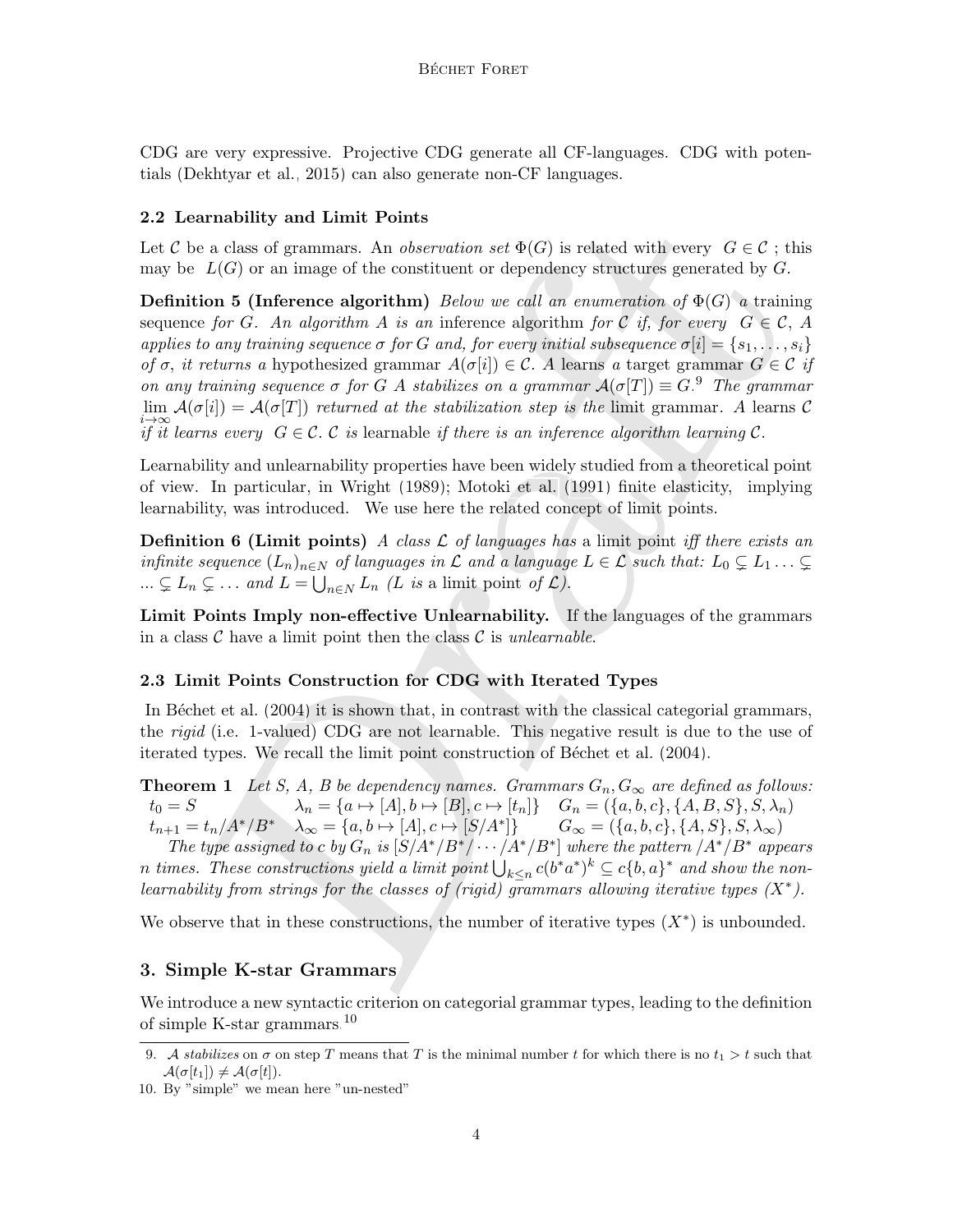CDG are very expressive. Projective CDG generate all CF-languages. CDG with potentials [\(Dekhtyar et al., 2015\)](#page-11-0) can also generate non-CF languages.

## 2.2 Learnability and Limit Points

Let C be a class of grammars. An *observation set*  $\Phi(G)$  is related with every  $G \in \mathcal{C}$ ; this may be  $L(G)$  or an image of the constituent or dependency structures generated by G.

**arnabili[t](#page-3-0)y and Limit Foints**<br>
arnability and Limit Foints<br>
are also of grammans. An observation set  $\Phi(G)$  is related with every  $G \in \mathcal{C}$ ; the<br>  $L(G)$  or an image of the constituent or dependency structures generated b **Definition 5 (Inference algorithm)** Below we call an enumeration of  $\Phi(G)$  a training sequence for G. An algorithm A is an inference algorithm for C if, for every  $G \in \mathcal{C}$ , A applies to any training sequence  $\sigma$  for G and, for every initial subsequence  $\sigma[i] = \{s_1, \ldots, s_i\}$ of  $\sigma$ , it returns a hypothesized grammar  $A(\sigma[i]) \in \mathcal{C}$ . A learns a target grammar  $G \in \mathcal{C}$  if on any training sequence  $\sigma$  for G A stabilizes on a grammar  $\mathcal{A}(\sigma[T]) \equiv G$ . The grammar  $\lim_{\delta \to 0} A(\sigma[i]) = A(\sigma[T])$  returned at the stabilization step is the limit grammar. A learns C  $i\rightarrow\infty$  is the interest of the is an inference algorithm learning C.<br>if it learns every  $G \in \mathcal{C}$ . C is learnable if there is an inference algorithm learning C.

Learnability and unlearnability properties have been widely studied from a theoretical point of view. In particular, in Wright (1989); Motoki et al. (1991) finite elasticity, implying learnability, was introduced. We use here the related concept of limit points.

**Definition 6 (Limit points)** A class  $\mathcal L$  of languages has a limit point iff there exists an infinite sequence  $(L_n)_{n\in\mathbb{N}}$  of languages in  $\mathcal L$  and a language  $L\in\mathcal L$  such that:  $L_0\subsetneq L_1\ldots\subsetneq L_n$  $\ldots \subsetneq L_n \subsetneq \ldots$  and  $L = \bigcup_{n \in N} L_n$  (L is a limit point of  $\mathcal{L}$ ).

Limit Points Imply non-effective Unlearnability. If the languages of the grammars in a class  $\mathcal C$  have a limit point then the class  $\mathcal C$  is unlearnable.

# 2.3 Limit Points Construction for CDG with Iterated Types

<span id="page-3-2"></span>In Béchet et al. (2004) it is shown that, in contrast with the classical categorial grammars, the rigid (i.e. 1-valued) CDG are not learnable. This negative result is due to the use of iterated types. We recall the limit point construction of Béchet et al. (2004).

**Theorem 1** Let S, A, B be dependency names. Grammars  $G_n, G_\infty$  are defined as follows:  $t_0 = S$   $\lambda_n = \{a \mapsto [A], b \mapsto [B], c \mapsto [t_n]\}$   $G_n = (\{a, b, c\}, \{A, B, S\}, S, \lambda_n)$  $t_{n+1} = t_n / A^* / B^*$   $\lambda_{\infty} = \{a, b \mapsto [A], c \mapsto [S/A^*] \}$   $G_{\infty} = (\{a, b, c\}, \{A, S\}, S, \lambda_{\infty})$ 

The type assigned to c by  $G_n$  is  $[S/A^*/B^*/\cdots/A^*/B^*]$  where the pattern  $/A^*/B^*$  appears n times. These constructions yield a limit point  $\bigcup_{k\leq n}c(b^*a^*)^k\subseteq c\{b,a\}^*$  and show the nonlearnability from strings for the classes of (rigid) grammars allowing iterative types  $(X^*)$ .

We observe that in these constructions, the number of iterative types  $(X^*)$  is unbounded.

#### 3. Simple K-star Grammars

We introduce a new syntactic criterion on categorial grammar types, leading to the definition of simple K-star grammars.[10](#page-3-1)

<span id="page-3-0"></span><sup>9.</sup> A stabilizes on  $\sigma$  on step T means that T is the minimal number t for which there is no  $t_1 > t$  such that  $\mathcal{A}(\sigma[t_1]) \neq \mathcal{A}(\sigma[t]).$ 

<span id="page-3-1"></span><sup>10.</sup> By "simple" we mean here "un-nested"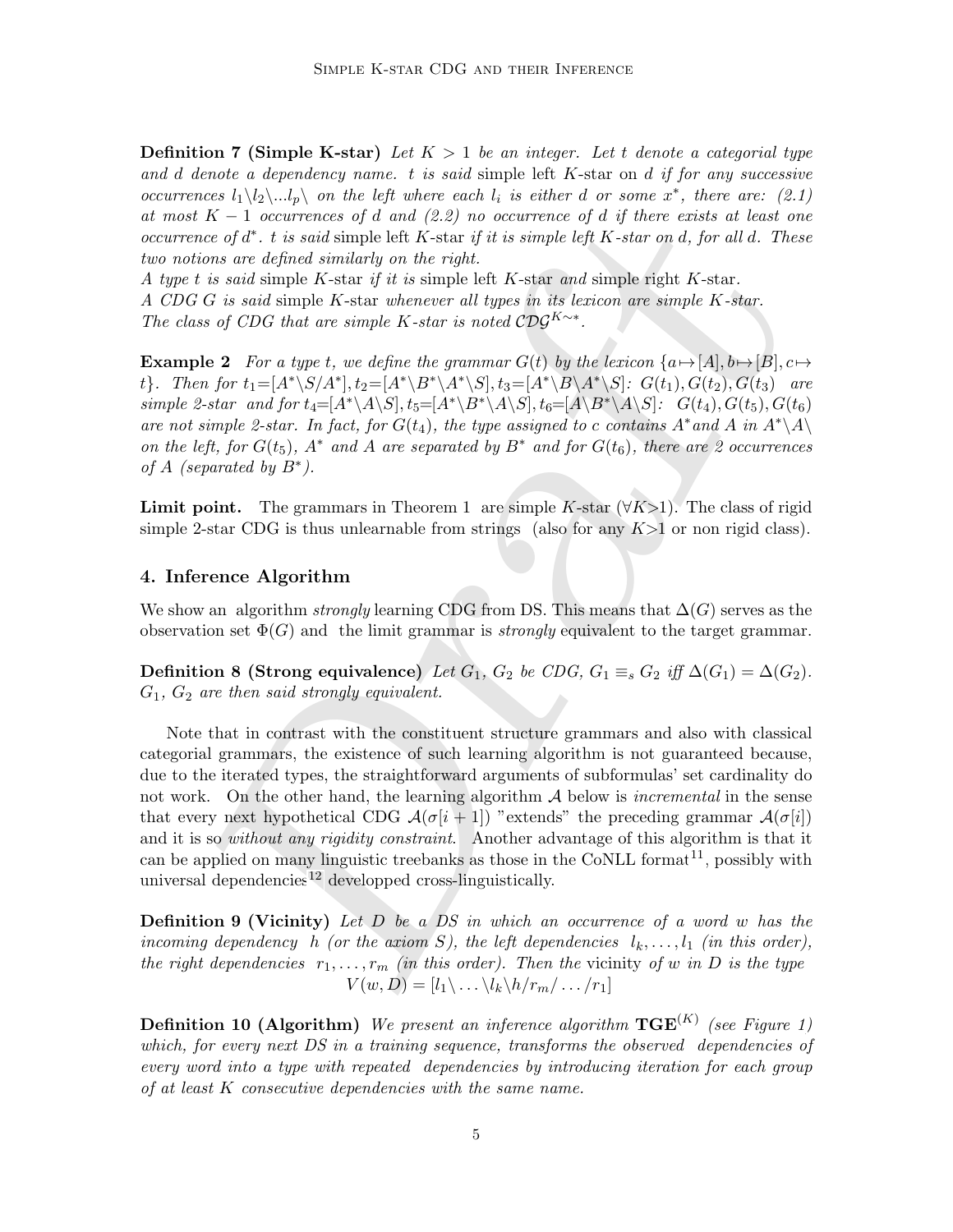**Definition 7 (Simple K-star)** Let  $K > 1$  be an integer. Let t denote a categorial type and d denote a dependency name.  $t$  is said simple left  $K$ -star on  $d$  if for any successive occurrences  $l_1 \setminus l_2 \setminus ... l_p \setminus n$  the left where each  $l_i$  is either d or some  $x^*$ , there are: (2.1) at most  $K-1$  occurrences of d and  $(2.2)$  no occurrence of d if there exists at least one occurrence of  $d^*$ . t is said simple left K-star if it is simple left K-star on d, for all d. These two notions are defined similarly on the right.

A type t is said simple K-star if it is simple left K-star and simple right K-star. A CDG G is said simple K-star whenever all types in its lexicon are simple K-star. The class of CDG that are simple K-star is noted  $\mathcal{CDG}^{K \sim *}$ .

<span id="page-4-0"></span>**Example 2** For a type t, we define the grammar  $G(t)$  by the lexicon  $\{a \mapsto [A], b \mapsto [B], c \mapsto [B], c \mapsto [C]$ t}. Then for  $t_1 = [A^*\setminus S/A^*], t_2 = [A^*\setminus B^*\setminus A^*\setminus S], t_3 = [A^*\setminus B\setminus A^*\setminus S]: G(t_1), G(t_2), G(t_3)$  are simple 2-star and for  $t_4=[A^*\A\S], t_5=[A^*\B^*\A\S], t_6=[A\B^*\A\S]: G(t_4), G(t_5), G(t_6)$ are not simple 2-star. In fact, for  $G(t_4)$ , the type assigned to c contains  $A^*$  and A in  $A^*\lambda$ on the left, for  $G(t_5)$ ,  $A^*$  and  $A$  are separated by  $B^*$  and for  $G(t_6)$ , there are 2 occurrences of  $A$  (separated by  $B^*$ ).

**Limit point.** The grammars in Theorem 1 are simple K-star  $(\forall K>1)$ . The class of rigid simple 2-star CDG is thus unlearnable from strings (also for any  $K>1$  or non rigid class).

#### 4. Inference Algorithm

We show an algorithm *strongly* learning CDG from DS. This means that  $\Delta(G)$  serves as the observation set  $\Phi(G)$  and the limit grammar is *strongly* equivalent to the target grammar.

Definition 8 (Strong equivalence) Let  $G_1$ ,  $G_2$  be CDG,  $G_1 \equiv_s G_2$  iff  $\Delta(G_1) = \Delta(G_2)$ .  $G_1, G_2$  are then said strongly equivalent.

K – 1 occurrences of d and (2.2) no occurrence of d if there exists at least of<br>noise are of d". it is said simple left K-star if it is simple left K-star on d, for all d. The<br>noise are defined similarly on the right.<br>It Note that in contrast with the constituent structure grammars and also with classical categorial grammars, the existence of such learning algorithm is not guaranteed because, due to the iterated types, the straightforward arguments of subformulas' set cardinality do not work. On the other hand, the learning algorithm  $A$  below is *incremental* in the sense that every next hypothetical CDG  $\mathcal{A}(\sigma[i+1])$  "extends" the preceding grammar  $\mathcal{A}(\sigma[i])$ and it is so without any rigidity constraint. Another advantage of this algorithm is that it can be applied on many linguistic treebanks as those in the CoNLL format<sup>11</sup>, possibly with universal dependencies<sup>12</sup> developped cross-linguistically.

**Definition 9 (Vicinity)** Let  $D$  be a  $DS$  in which an occurrence of a word w has the incoming dependency h (or the axiom S), the left dependencies  $l_k, \ldots, l_1$  (in this order), the right dependencies  $r_1, \ldots, r_m$  (in this order). Then the vicinity of w in D is the type  $V(w, D) = [l_1 \backslash ... \backslash l_k \backslash h/r_m / ... /r_1]$ 

**Definition 10 (Algorithm)** We present an inference algorithm  $TGE^{(K)}$  (see Figure [1\)](#page-5-2) which, for every next DS in a training sequence, transforms the observed dependencies of every word into a type with repeated dependencies by introducing iteration for each group of at least K consecutive dependencies with the same name.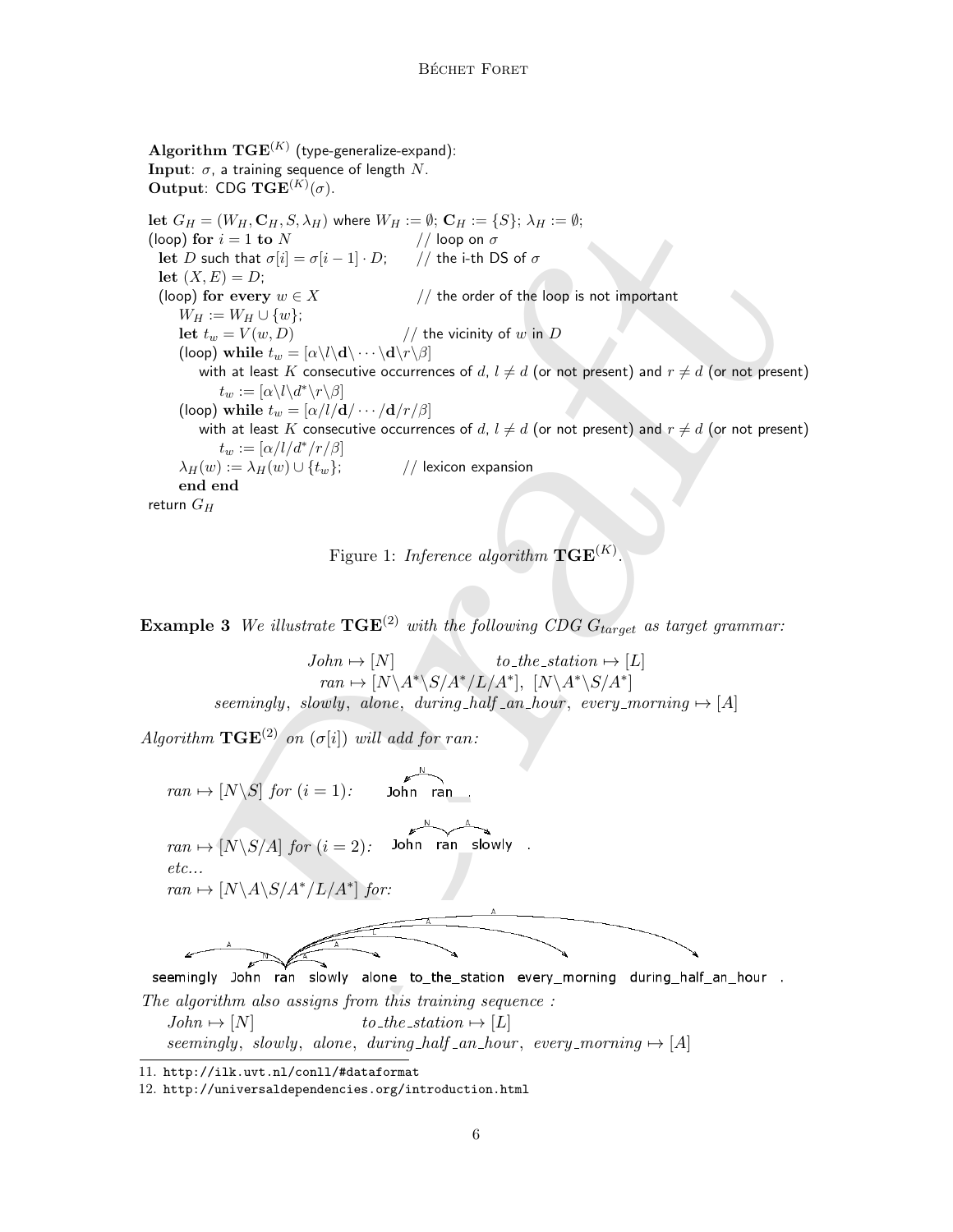Draft  $\mathbf{Algorithm~TGE}^{(K)}$  (type-generalize-expand): Input:  $\sigma$ , a training sequence of length N. **Output:** CDG  $\text{TGE}^{(K)}(\sigma)$ . let  $G_H = (W_H, \mathbf{C}_H, S, \lambda_H)$  where  $W_H := \emptyset$ ;  $\mathbf{C}_H := \{S\}$ ;  $\lambda_H := \emptyset$ ;<br>(loop) for  $i = 1$  to  $N$  // loop on  $\sigma$ (loop) for  $i = 1$  to  $N$ let D such that  $\sigma[i] = \sigma[i-1] \cdot D;$  // the i-th DS of  $\sigma$ let  $(X, E) = D$ ; (loop) for every  $w \in X$  // the order of the loop is not important  $W_H := W_H \cup \{w\};$ let  $t_w = V(w, D)$  // the vicinity of w in D (loop) while  $t_w = [\alpha \setminus l \setminus d \setminus \cdots \setminus d \setminus r \setminus \beta]$ with at least K consecutive occurrences of d,  $l \neq d$  (or not present) and  $r \neq d$  (or not present)  $t_w := [\alpha \backslash l \backslash d^* \backslash r \backslash \beta]$ (loop) while  $t_w = [\alpha/l/d/\cdots/d/r/\beta]$ with at least K consecutive occurrences of d,  $l \neq d$  (or not present) and  $r \neq d$  (or not present)  $t_w := [\alpha/l/d^*/r/\beta]$  $\lambda_H(w) := \lambda_H(w) \cup \{t_w\};$  // lexicon expansion end end return  $G_H$ 

<span id="page-5-2"></span>Figure 1: Inference algorithm  $\mathbf{TGE}^{(K)}$ .

**Example 3** We illustrate  $TGE^{(2)}$  with the following CDG  $G_{target}$  as target grammar:

 $John \mapsto [N]$  to the station  $\mapsto [L]$  $ran \mapsto [N\backslash A^*\backslash S/A^*/L/A^*], [N\backslash A^*\backslash S/A^*]$ seemingly, slowly, alone, during half  $_{an\_hour}$ , every morning  $\mapsto$  [A]

Algorithm  $TGE^{(2)}$  on  $(\sigma[i])$  will add for ran:



 $John \mapsto [N]$  to\_the\_station  $\mapsto [L]$ seemingly, slowly, alone, during half an hour, every morning  $\mapsto$  [A]

<span id="page-5-0"></span><sup>11.</sup> <http://ilk.uvt.nl/conll/#dataformat>

<span id="page-5-1"></span><sup>12.</sup> <http://universaldependencies.org/introduction.html>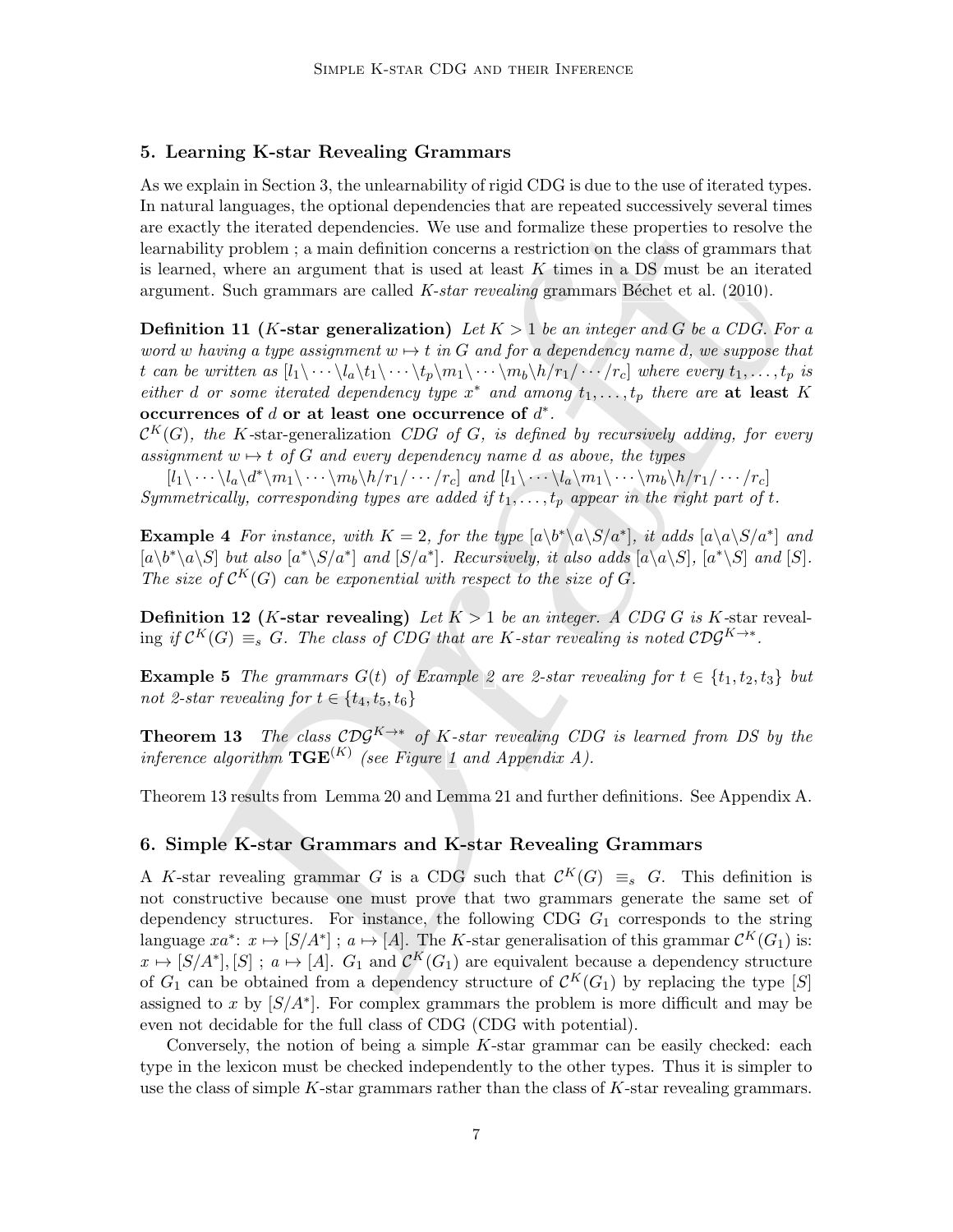#### 5. Learning K-star Revealing Grammars

As we explain in Section 3, the unlearnability of rigid CDG is due to the use of iterated types. In natural languages, the optional dependencies that are repeated successively several times are exactly the iterated dependencies. We use and formalize these properties to resolve the learnability problem ; a main definition concerns a restriction on the class of grammars that is learned, where an argument that is used at least  $K$  times in a DS must be an iterated argument. Such grammars are called  $K\text{-}star\;\text{revealing}\; \text{grammars}$  Béchet et al. (2010).

**Definition 11** (K-star generalization) Let  $K > 1$  be an integer and G be a CDG. For a word w having a type assignment  $w \mapsto t$  in G and for a dependency name d, we suppose that t can be written as  $[l_1\backslash \cdots \backslash l_a\backslash t_1\backslash \cdots \backslash t_p\backslash m_1\backslash \cdots \backslash m_b\backslash h/r_1/\cdots/r_c]$  where every  $t_1,\ldots,t_p$  is either d or some iterated dependency type  $x^*$  and among  $t_1, \ldots, t_p$  there are at least K occurrences of  $d$  or at least one occurrence of  $d^*$ .

 $\mathcal{C}^K(G)$ , the K-star-generalization CDG of G, is defined by recursively adding, for every assignment  $w \mapsto t$  of G and every dependency name d as above, the types

 $[l_1\backslash \cdots \backslash l_a\backslash d^*\backslash m_1\backslash \cdots \backslash m_b\backslash h/r_1/\cdots/r_c]$  and  $[l_1\backslash \cdots \backslash l_a\backslash m_1\backslash \cdots \backslash m_b\backslash h/r_1/\cdots/r_c]$ Symmetrically, corresponding types are added if  $t_1, \ldots, t_p$  appear in the right part of t.

**Example 4** For instance, with  $K = 2$ , for the type  $[a\backslash b^*\backslash a\backslash S/a^*]$ , it adds  $[a\backslash a\backslash S/a^*]$  and  $[a\backslash b^*\backslash a\backslash S]$  but also  $[a^*\backslash S/a^*]$  and  $[S/a^*]$ . Recursively, it also adds  $[a\backslash a\backslash S]$ ,  $[a^*\backslash S]$  and  $[S]$ . The size of  $\mathcal{C}^K(G)$  can be exponential with respect to the size of G.

**Definition 12 (K-star revealing)** Let  $K > 1$  be an integer. A CDG G is K-star reveal- $\Gamma$  ing if  $\mathcal{C}^K(G) \equiv_s G$ . The class of CDG that are K-star revealing is noted  $\mathcal{CDG}^{K \rightarrow *}.$ 

**Example 5** The grammars  $G(t)$  of Example 2 are 2-star revealing for  $t \in \{t_1, t_2, t_3\}$  but not 2-star revealing for  $t \in \{t_4, t_5, t_6\}$ 

<span id="page-6-0"></span>**Theorem 13** The class  $CDG^{K\to*}$  of K-star revealing CDG is learned from DS by the inference algorithm  $\text{TGE}^{(K)}$  (see Figure 1 and Appendix A).

Theorem 13 results from Lemma 20 and Lemma 21 and further definitions. See Appendix A.

#### 6. Simple K-star Grammars and K-star Revealing Grammars

a magnaposis a[r](#page-5-2)e optional whom that the representation of the strength of the figure of the formation of the magnament in a paint definition concerns a restriction on the class of grammars into the strength of the figure A K-star revealing grammar G is a CDG such that  $\mathcal{C}^K(G) \equiv_s G$ . This definition is not constructive because one must prove that two grammars generate the same set of dependency structures. For instance, the following CDG  $G_1$  corresponds to the string language  $xa^* \colon x \mapsto [S/A^*]$ ;  $a \mapsto [A]$ . The K-star generalisation of this grammar  $\mathcal{C}^K(G_1)$  is:  $x \mapsto [S/A^*], [S]$ ;  $a \mapsto [A]$ .  $G_1$  and  $\mathcal{C}^K(G_1)$  are equivalent because a dependency structure of  $G_1$  can be obtained from a dependency structure of  $\mathcal{C}^K(G_1)$  by replacing the type [S] assigned to x by  $[S/A^*]$ . For complex grammars the problem is more difficult and may be even not decidable for the full class of CDG (CDG with potential).

Conversely, the notion of being a simple  $K$ -star grammar can be easily checked: each type in the lexicon must be checked independently to the other types. Thus it is simpler to use the class of simple  $K$ -star grammars rather than the class of  $K$ -star revealing grammars.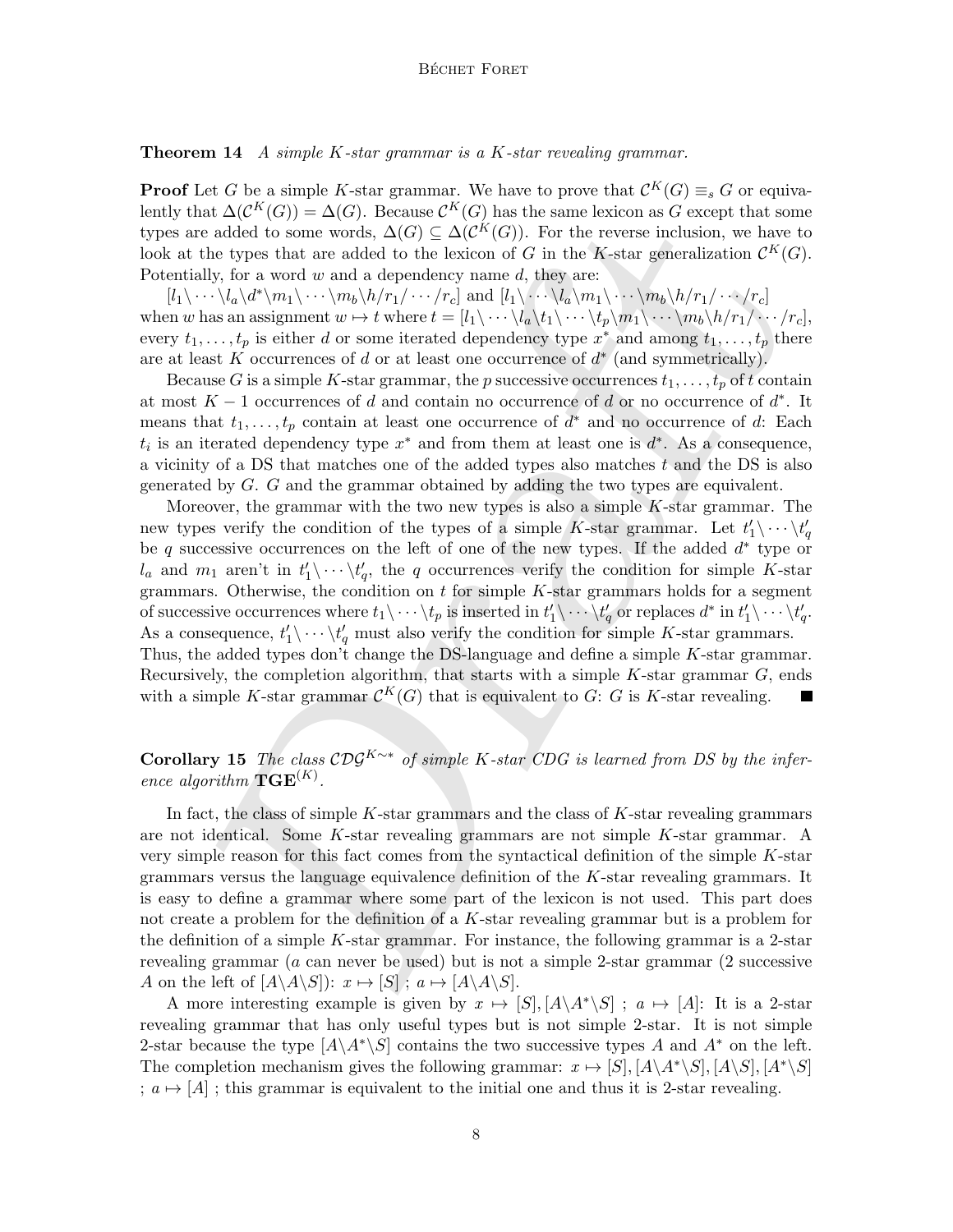**Theorem 14** A simple  $K$ -star grammar is a  $K$ -star revealing grammar.

**Proof** Let G be a simple K-star grammar. We have to prove that  $\mathcal{C}^K(G) \equiv_s G$  or equivalently that  $\Delta(\mathcal{C}^K(G)) = \Delta(G)$ . Because  $\mathcal{C}^K(G)$  has the same lexicon as G except that some types are added to some words,  $\Delta(G) \subseteq \Delta(\mathcal{C}^K(G))$ . For the reverse inclusion, we have to look at the types that are added to the lexicon of G in the K-star generalization  $\mathcal{C}^K(G)$ . Potentially, for a word  $w$  and a dependency name  $d$ , they are:

 $[l_1\backslash \cdots \backslash l_a\backslash d^*\backslash m_1\backslash \cdots \backslash m_b\backslash h/r_1/\cdots/r_c]$  and  $[l_1\backslash \cdots \backslash l_a\backslash m_1\backslash \cdots \backslash m_b\backslash h/r_1/\cdots/r_c]$ when w has an assignment  $w \mapsto t$  where  $t = [l_1\backslash \cdots \backslash l_a\backslash t_1\backslash \cdots \backslash t_p\backslash m_1\backslash \cdots \backslash m_b\backslash h/r_1 / \cdots/r_c],$ every  $t_1, \ldots, t_p$  is either d or some iterated dependency type  $x^*$  and among  $t_1, \ldots, t_p$  there are at least K occurrences of d or at least one occurrence of  $d^*$  (and symmetrically).

Because G is a simple K-star grammar, the p successive occurrences  $t_1, \ldots, t_p$  of t contain at most  $K-1$  occurrences of d and contain no occurrence of d or no occurrence of  $d^*$ . It means that  $t_1, \ldots, t_p$  contain at least one occurrence of  $d^*$  and no occurrence of d: Each  $t_i$  is an iterated dependency type  $x^*$  and from them at least one is  $d^*$ . As a consequence, a vicinity of a DS that matches one of the added types also matches  $t$  and the DS is also generated by G. G and the grammar obtained by adding the two types are equivalent.

at  $AC^{\infty}(G) = \Delta(G)$ . Decause  $C^{\infty}(G)$  has the same lection as G except that some  $\alpha$  decay that is the position of the  $K$ -star generation of  $G$  in the K-star generation of  $G$  in the K-star generation of  $G$  in the K-Moreover, the grammar with the two new types is also a simple  $K$ -star grammar. The new types verify the condition of the types of a simple K-star grammar. Let  $t_1' \setminus \cdots \setminus t_q'$ be q successive occurrences on the left of one of the new types. If the added  $d^*$  type or  $l_a$  and  $m_1$  aren't in  $t'_1 \backslash \cdots \backslash t'_q$ , the q occurrences verify the condition for simple K-star grammars. Otherwise, the condition on  $t$  for simple  $K$ -star grammars holds for a segment of successive occurrences where  $t_1\backslash \cdots \backslash t_p$  is inserted in  $t'_1\rangle \cdots \backslash t'_q$  or replaces  $d^*$  in  $t'_1\rangle \cdots \backslash t'_q$ . As a consequence,  $t'_1 \backslash \cdots \backslash t'_q$  must also verify the condition for simple K-star grammars. Thus, the added types don't change the DS-language and define a simple  $K$ -star grammar. Recursively, the completion algorithm, that starts with a simple  $K$ -star grammar  $G$ , ends with a simple K-star grammar  $\mathcal{C}^K(G)$  that is equivalent to G: G is K-star revealing.

Corollary 15 The class  $\mathcal{CDG}^{K\sim*}$  of simple K-star CDG is learned from DS by the inference algorithm  $\mathbf{TGE}^{(K)}$ .

In fact, the class of simple  $K$ -star grammars and the class of  $K$ -star revealing grammars are not identical. Some K-star revealing grammars are not simple K-star grammar. A very simple reason for this fact comes from the syntactical definition of the simple K-star grammars versus the language equivalence definition of the  $K$ -star revealing grammars. It is easy to define a grammar where some part of the lexicon is not used. This part does not create a problem for the definition of a K-star revealing grammar but is a problem for the definition of a simple  $K$ -star grammar. For instance, the following grammar is a 2-star revealing grammar (a can never be used) but is not a simple 2-star grammar (2 successive A on the left of  $[A\setminus A\setminus S]$ :  $x \mapsto [S]$ ;  $a \mapsto [A\setminus A\setminus S]$ .

A more interesting example is given by  $x \mapsto [S], [A \setminus A^* \setminus S]$ ;  $a \mapsto [A]$ : It is a 2-star revealing grammar that has only useful types but is not simple 2-star. It is not simple 2-star because the type  $[A\A^*\S]$  contains the two successive types A and  $A^*$  on the left. The completion mechanism gives the following grammar:  $x \mapsto [S], [A \setminus A^* \setminus S], [A \setminus S], [A^* \setminus S]$ ;  $a \mapsto [A]$ ; this grammar is equivalent to the initial one and thus it is 2-star revealing.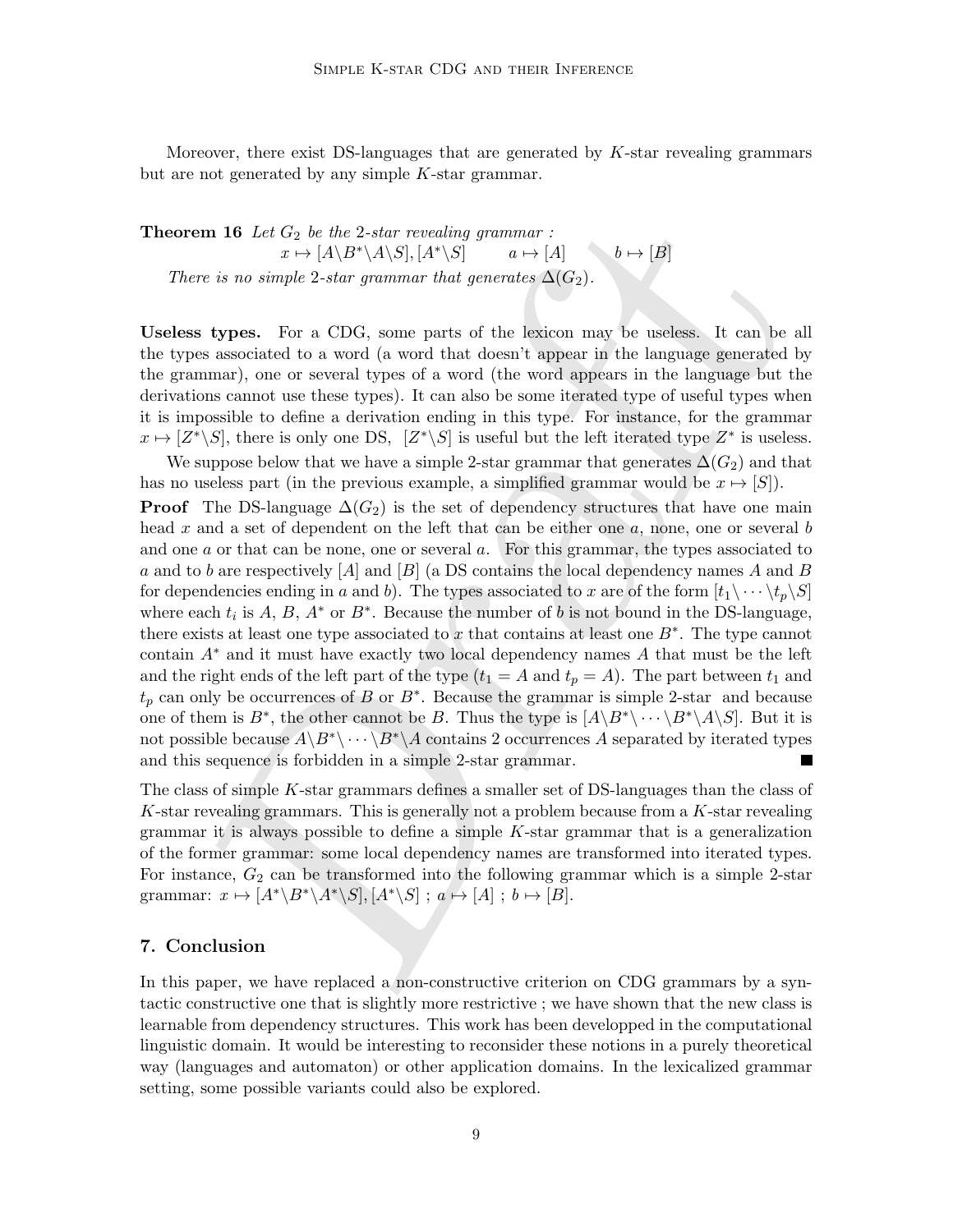Moreover, there exist DS-languages that are generated by  $K$ -star revealing grammars but are not generated by any simple K-star grammar.

**Theorem 16** Let  $G_2$  be the 2-star revealing grammar :  $x \mapsto [A \setminus B^* \setminus A \setminus S], [A^* \setminus S]$   $a \mapsto [A]$   $b \mapsto [B]$ There is no simple 2-star grammar that generates  $\Delta(G_2)$ .

Useless types. For a CDG, some parts of the lexicon may be useless. It can be all the types associated to a word (a word that doesn't appear in the language generated by the grammar), one or several types of a word (the word appears in the language but the derivations cannot use these types). It can also be some iterated type of useful types when it is impossible to define a derivation ending in this type. For instance, for the grammar  $x \mapsto [Z^*\backslash S]$ , there is only one DS,  $[Z^*\backslash S]$  is useful but the left iterated type  $Z^*$  is useless.

**xm** 16 Let  $G_2$  be the 2-star revealing grunnars :<br>  $x \mapsto [A \setminus B^x \setminus A \setminus S], [A^x \setminus S] = a \mapsto [A]$ <br>
re is no simple 2-star revealing grunnar that  $b \mapsto [B]$ <br>
re is no simple 2-star grunnar that generates  $\Delta(G_2)$ .<br>
For a CDG, We suppose below that we have a simple 2-star grammar that generates  $\Delta(G_2)$  and that has no useless part (in the previous example, a simplified grammar would be  $x \mapsto [S]$ ). **Proof** The DS-language  $\Delta(G_2)$  is the set of dependency structures that have one main head x and a set of dependent on the left that can be either one a, none, one or several b and one  $a$  or that can be none, one or several  $a$ . For this grammar, the types associated to a and to b are respectively  $[A]$  and  $[B]$  (a DS contains the local dependency names A and B for dependencies ending in a and b). The types associated to x are of the form  $[t_1\backslash \cdots \backslash t_p\backslash S]$ where each  $t_i$  is A, B,  $A^*$  or  $B^*$ . Because the number of b is not bound in the DS-language, there exists at least one type associated to x that contains at least one  $B^*$ . The type cannot contain  $A^*$  and it must have exactly two local dependency names A that must be the left and the right ends of the left part of the type  $(t_1 = A \text{ and } t_p = A)$ . The part between  $t_1$  and  $t_p$  can only be occurrences of B or  $B^*$ . Because the grammar is simple 2-star and because one of them is  $B^*$ , the other cannot be B. Thus the type is  $[A\Bra{B^*}\Bra{·} \Bra{B^*}\A\Bra{S}$ . But it is not possible because  $A\backslash B^*\backslash \cdots \backslash B^*\backslash A$  contains 2 occurrences A separated by iterated types and this sequence is forbidden in a simple 2-star grammar.

The class of simple K-star grammars defines a smaller set of DS-languages than the class of K-star revealing grammars. This is generally not a problem because from a K-star revealing grammar it is always possible to define a simple  $K$ -star grammar that is a generalization of the former grammar: some local dependency names are transformed into iterated types. For instance,  $G_2$  can be transformed into the following grammar which is a simple 2-star grammar:  $x \mapsto [A^*\Bra{A^*}\S], [A^*\S]$ ;  $a \mapsto [A]$ ;  $b \mapsto [B]$ .

#### 7. Conclusion

In this paper, we have replaced a non-constructive criterion on CDG grammars by a syntactic constructive one that is slightly more restrictive ; we have shown that the new class is learnable from dependency structures. This work has been developped in the computational linguistic domain. It would be interesting to reconsider these notions in a purely theoretical way (languages and automaton) or other application domains. In the lexicalized grammar setting, some possible variants could also be explored.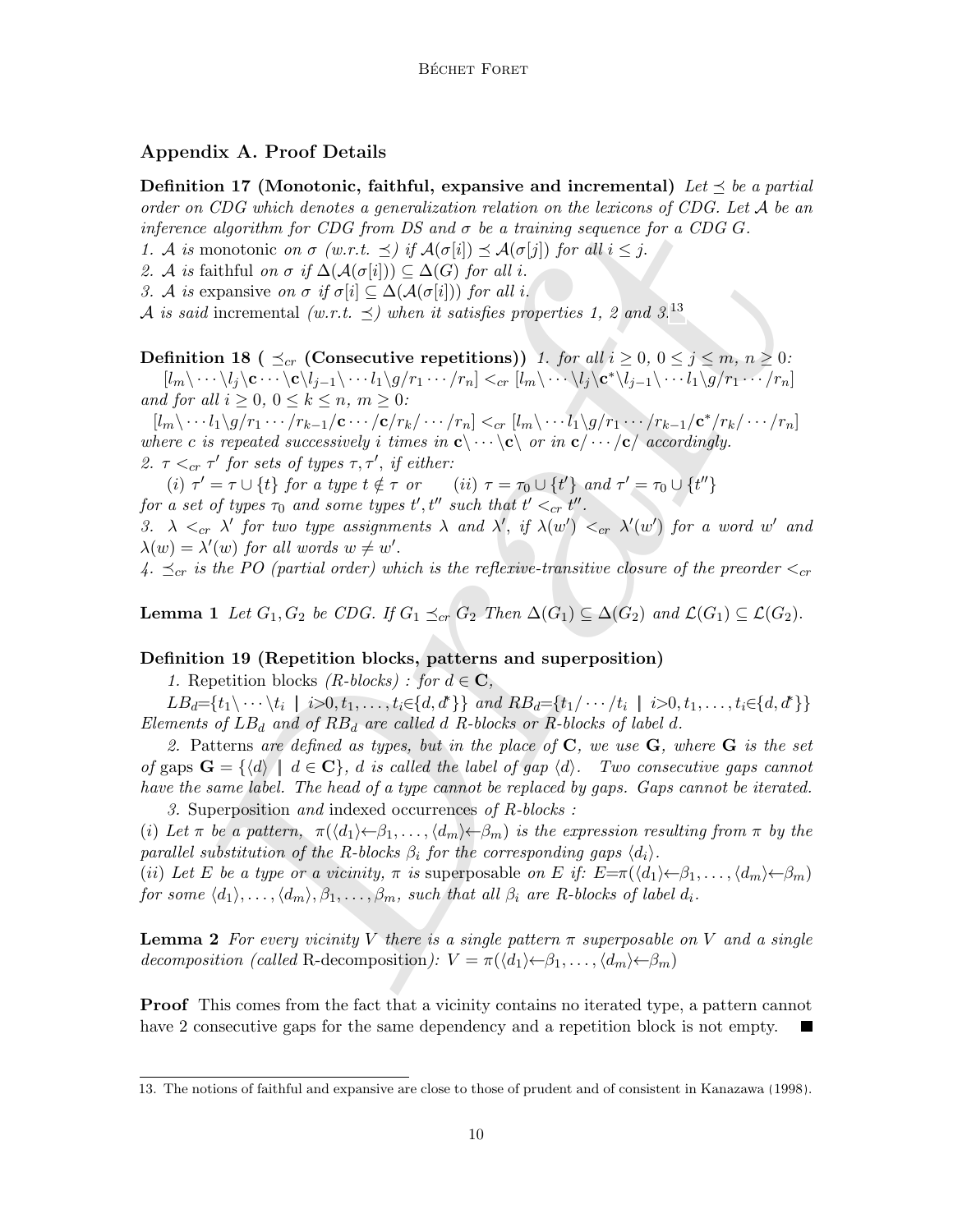# Appendix A. Proof Details

Definition 17 (Monotonic, faithful, expansive and incremental) Let  $\leq$  be a partial order on CDG which denotes a generalization relation on the lexicons of CDG. Let A be an inference algorithm for CDG from DS and  $\sigma$  be a training sequence for a CDG G.

1. A is monotonic on  $\sigma$  (w.r.t.  $\preceq$ ) if  $\mathcal{A}(\sigma[i]) \preceq \mathcal{A}(\sigma[j])$  for all  $i \leq j$ .

- 2. A is faithful on  $\sigma$  if  $\Delta(\mathcal{A}(\sigma[i])) \subseteq \Delta(G)$  for all i.
- 3. A is expansive on  $\sigma$  if  $\sigma[i] \subseteq \Delta(\mathcal{A}(\sigma[i]))$  for all i.

A is said incremental (w.r.t.  $\preceq$ ) when it satisfies properties 1, 2 and 3.<sup>13</sup>

Definition 18 (  $\preceq_{cr}$  (Consecutive repetitions)) 1. for all  $i \geq 0$ ,  $0 \leq j \leq m$ ,  $n \geq 0$ :  $[l_m\setminus \cdots\setminus l_j\setminus \mathbf{c}\cdots\setminus \mathbf{c}\setminus l_{j-1}\setminus \cdots l_1\setminus g/r_1\cdots/r_n] <_{cr} [l_m\setminus \cdots\setminus l_j\setminus \mathbf{c}^*\setminus l_{j-1}\setminus \cdots l_1\setminus g/r_1\cdots/r_n]$ and for all  $i \geq 0, 0 \leq k \leq n, m \geq 0$ :

 $[l_m\backslash \cdots l_1\backslash g/r_1\cdots/r_{k-1}/\mathbf{c}\cdots/\mathbf{c}/r_k/\cdots/r_n]<_{cr} [l_m\backslash \cdots l_1\backslash g/r_1\cdots/r_{k-1}/\mathbf{c}^*/r_k/\cdots/r_n]$ where c is repeated successively i times in  $c \langle \cdots \rangle c \langle$  or in  $c / \cdots \langle c \rangle$  accordingly.

2.  $\tau <_{cr} \tau'$  for sets of types  $\tau, \tau'$ , if either:

(i)  $\tau' = \tau \cup \{t\}$  for a type  $t \notin \tau$  or  $(ii) \tau = \tau_0 \cup \{t'\}$  and  $\tau' = \tau_0 \cup \{t''\}$ for a set of types  $\tau_0$  and some types  $t', t''$  such that  $t' <_{cr} t''$ .

3.  $\lambda <_{cr} \lambda'$  for two type assignments  $\lambda$  and  $\lambda'$ , if  $\lambda(w') <_{cr} \lambda'(w')$  for a word w' and  $\lambda(w) = \lambda'(w)$  for all words  $w \neq w'$ .

4.  $\leq_{cr}$  is the PO (partial order) which is the reflexive-transitive closure of the preorder  $\leq_{cr}$ 

**Lemma 1** Let  $G_1, G_2$  be CDG. If  $G_1 \preceq_{cr} G_2$  Then  $\Delta(G_1) \subseteq \Delta(G_2)$  and  $\mathcal{L}(G_1) \subseteq \mathcal{L}(G_2)$ .

# Definition 19 (Repetition blocks, patterns and superposition)

1. Repetition blocks (R-blocks): for  $d \in \mathbf{C}$ ,

 $LB_d = \{t_1 \backslash \cdots \backslash t_i \mid i > 0, t_1, \ldots, t_i \in \{d, d^*\}\}$  and  $RB_d = \{t_1 / \cdots / t_i \mid i > 0, t_1, \ldots, t_i \in \{d, d^*\}\}\$ Elements of  $LB_d$  and of  $RB_d$  are called d R-blocks or R-blocks of label d.

CD and the method is a space that and the continuous of  $\alpha$  to  $\alpha$  the  $\alpha$  that  $\alpha$  is a method of  $\alpha$  of  $\alpha$ . If  $A(c[i]) \subseteq A(c[j])$  for all  $i \leq j$ .<br>
monotheric on  $\sigma$  (i.e.,  $\leq j$ )  $A(c[i]) \subseteq A(c[j])$  for all  $i \leq j$ .<br>
is th 2. Patterns are defined as types, but in the place of  $C$ , we use  $G$ , where  $G$  is the set of gaps  $\mathbf{G} = \{ \langle d \rangle \mid d \in \mathbf{C} \}, d$  is called the label of gap  $\langle d \rangle$ . Two consecutive gaps cannot have the same label. The head of a type cannot be replaced by gaps. Gaps cannot be iterated.

3. Superposition and indexed occurrences of R-blocks :

(i) Let  $\pi$  be a pattern,  $\pi(\langle d_1 \rangle \langle \beta_1, \ldots, \langle d_m \rangle \langle \beta_m \rangle)$  is the expression resulting from  $\pi$  by the parallel substitution of the R-blocks  $\beta_i$  for the corresponding gaps  $\langle d_i \rangle$ .

(ii) Let E be a type or a vicinity,  $\pi$  is superposable on E if:  $E=\pi(\langle d_1 \rangle \langle \beta_1, \ldots, \langle d_m \rangle \langle \beta_m \rangle)$ for some  $\langle d_1 \rangle, \ldots, \langle d_m \rangle, \beta_1, \ldots, \beta_m$ , such that all  $\beta_i$  are R-blocks of label  $d_i$ .

**Lemma 2** For every vicinity V there is a single pattern  $\pi$  superposable on V and a single decomposition (called R-decomposition):  $V = \pi(\langle d_1 \rangle \leftarrow \beta_1, \ldots, \langle d_m \rangle \leftarrow \beta_m)$ 

Proof This comes from the fact that a vicinity contains no iterated type, a pattern cannot have 2 consecutive gaps for the same dependency and a repetition block is not empty.

<span id="page-9-1"></span><span id="page-9-0"></span><sup>13.</sup> The notions of faithful and expansive are close to those of prudent and of consistent in [Kanazawa](#page-11-9) [\(1998\)](#page-11-9).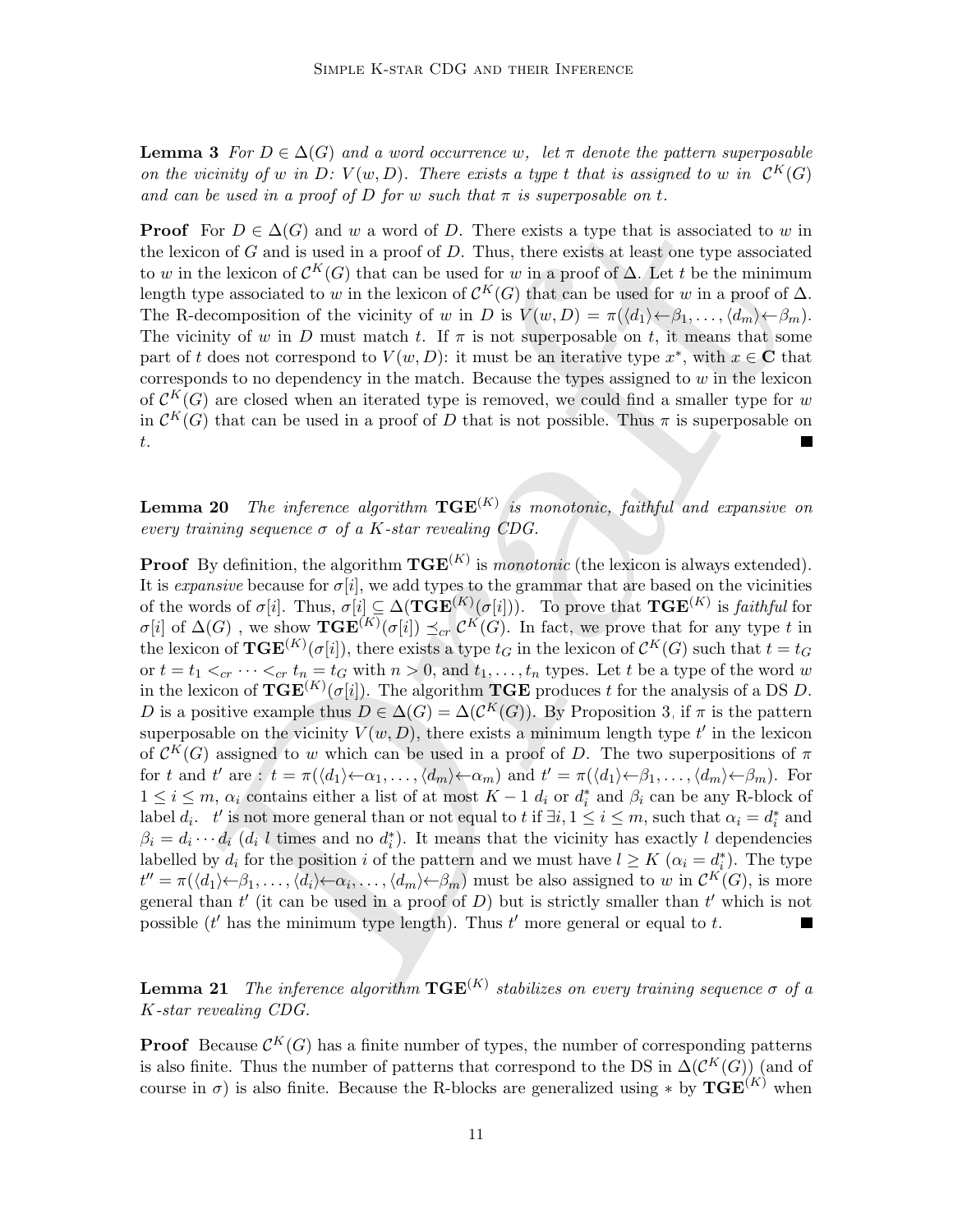**Lemma 3** For  $D \in \Delta(G)$  and a word occurrence w, let  $\pi$  denote the pattern superposable on the vicinity of w in D:  $V(w, D)$ . There exists a type t that is assigned to w in  $\mathcal{C}^K(G)$ and can be used in a proof of D for w such that  $\pi$  is superposable on t.

**Proof** For  $D \in \Delta(G)$  and w a word of D. There exists a type that is associated to w in the lexicon of  $G$  and is used in a proof of  $D$ . Thus, there exists at least one type associated to w in the lexicon of  $\mathcal{C}^K(G)$  that can be used for w in a proof of  $\Delta$ . Let t be the minimum length type associated to w in the lexicon of  $\mathcal{C}^K(G)$  that can be used for w in a proof of  $\Delta$ . The R-decomposition of the vicinity of w in D is  $V(w, D) = \pi(\langle d_1 \rangle \leftarrow \beta_1, \ldots, \langle d_m \rangle \leftarrow \beta_m)$ . The vicinity of w in D must match t. If  $\pi$  is not superposable on t, it means that some part of t does not correspond to  $V(w, D)$ : it must be an iterative type  $x^*$ , with  $x \in \mathbb{C}$  that corresponds to no dependency in the match. Because the types assigned to  $w$  in the lexicon of  $\mathcal{C}^K(G)$  are closed when an iterated type is removed, we could find a smaller type for w in  $\mathcal{C}^K(G)$  that can be used in a proof of D that is not possible. Thus  $\pi$  is superposable on t.

<span id="page-10-0"></span>**Lemma 20** The inference algorithm  $TGE^{(K)}$  is monotonic, faithful and expansive on every training sequence  $\sigma$  of a K-star revealing CDG.

For  $D \in \Delta(G)$  and  $w$  a word of  $D$ . There exists a type that is associated to  $w$ <br>con of  $G$  and  $w$  a a proof of  $D$ . Thus, there exists at least one type associated<br>the leasion of  $G^K(G)$  that can be used for  $w$  in a p **Proof** By definition, the algorithm  $TGE^{(K)}$  is *monotonic* (the lexicon is always extended). It is *expansive* because for  $\sigma[i]$ , we add types to the grammar that are based on the vicinities of the words of  $\sigma[i]$ . Thus,  $\sigma[i] \subseteq \Delta(\mathbf{TGE}^{(K)}(\sigma[i]))$ . To prove that  $\mathbf{TGE}^{(K)}$  is *faithful* for  $\sigma[i]$  of  $\Delta(G)$ , we show  $\mathbf{TGE}^{(K)}(\sigma[i]) \preceq_{cr} C^K(G)$ . In fact, we prove that for any type t in the lexicon of  $\mathbf{TGE}^{(K)}(\sigma[i])$ , there exists a type  $t_G$  in the lexicon of  $\mathcal{C}^K(G)$  such that  $t=t_G$ or  $t = t_1 <_{cr} \cdots <_{cr} t_n = t_G$  with  $n > 0$ , and  $t_1, \ldots, t_n$  types. Let t be a type of the word w in the lexicon of  $\mathbf{TGE}^{(K)}(\sigma[i])$ . The algorithm  $\mathbf{TGE}$  produces t for the analysis of a DS D. D is a positive example thus  $D \in \Delta(G) = \Delta(\mathcal{C}^K(G))$ . By Proposition 3, if  $\pi$  is the pattern superposable on the vicinity  $V(w, D)$ , there exists a minimum length type  $t'$  in the lexicon of  $\mathcal{C}^K(G)$  assigned to w which can be used in a proof of D. The two superpositions of  $\pi$ for t and t' are :  $t = \pi(\langle d_1 \rangle \langle \alpha_1, \ldots, \langle d_m \rangle \langle \alpha_m \rangle)$  and  $t' = \pi(\langle d_1 \rangle \langle \beta_1, \ldots, \langle d_m \rangle \langle \beta_m \rangle)$ . For  $1 \leq i \leq m$ ,  $\alpha_i$  contains either a list of at most  $K-1$   $d_i$  or  $d_i^*$  and  $\beta_i$  can be any R-block of label  $d_i$ .  $t'$  is not more general than or not equal to  $t$  if  $\exists i, 1 \leq i \leq m$ , such that  $\alpha_i = d_i^*$  and  $\beta_i = d_i \cdots d_i$  ( $d_i$  l times and no  $d_i^*$ ). It means that the vicinity has exactly l dependencies labelled by  $d_i$  for the position i of the pattern and we must have  $l \geq K$   $(\alpha_i = d_i^*)$ . The type  $t'' = \pi(\langle d_1 \rangle \leftarrow \beta_1, \ldots, \langle d_i \rangle \leftarrow \alpha_i, \ldots, \langle d_m \rangle \leftarrow \beta_m)$  must be also assigned to w in  $\mathcal{C}^K(G)$ , is more general than  $t'$  (it can be used in a proof of D) but is strictly smaller than  $t'$  which is not possible  $(t'$  has the minimum type length). Thus  $t'$  more general or equal to  $t$ .

<span id="page-10-1"></span>**Lemma 21** The inference algorithm  $TGE^{(K)}$  stabilizes on every training sequence  $\sigma$  of a K-star revealing CDG.

**Proof** Because  $\mathcal{C}^K(G)$  has a finite number of types, the number of corresponding patterns is also finite. Thus the number of patterns that correspond to the DS in  $\Delta(\mathcal{C}^K(G))$  (and of course in  $\sigma$ ) is also finite. Because the R-blocks are generalized using \* by  $\mathbf{TGE}^{(K)}$  when